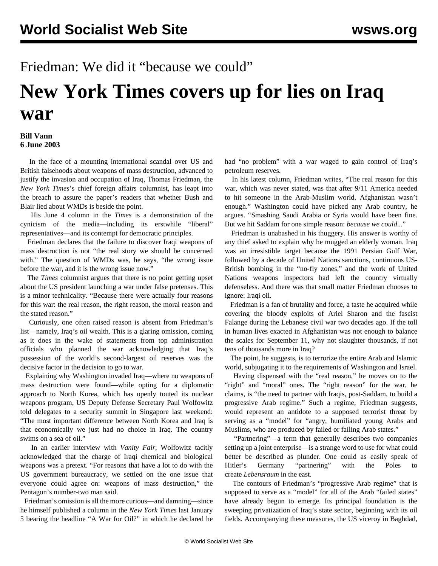## Friedman: We did it "because we could"

## **New York Times covers up for lies on Iraq war**

## **Bill Vann 6 June 2003**

 In the face of a mounting international scandal over US and British falsehoods about weapons of mass destruction, advanced to justify the invasion and occupation of Iraq, Thomas Friedman, the *New York Times*'s chief foreign affairs columnist, has leapt into the breach to assure the paper's readers that whether Bush and Blair lied about WMDs is beside the point.

 His June 4 column in the *Times* is a demonstration of the cynicism of the media—including its erstwhile "liberal" representatives—and its contempt for democratic principles.

 Friedman declares that the failure to discover Iraqi weapons of mass destruction is not "the real story we should be concerned with." The question of WMDs was, he says, "the wrong issue before the war, and it is the wrong issue now."

 The *Times* columnist argues that there is no point getting upset about the US president launching a war under false pretenses. This is a minor technicality. "Because there were actually four reasons for this war: the real reason, the right reason, the moral reason and the stated reason."

 Curiously, one often raised reason is absent from Friedman's list—namely, Iraq's oil wealth. This is a glaring omission, coming as it does in the wake of statements from top administration officials who planned the war acknowledging that Iraq's possession of the world's second-largest oil reserves was the decisive factor in the decision to go to war.

 Explaining why Washington invaded Iraq—where no weapons of mass destruction were found—while opting for a diplomatic approach to North Korea, which has openly touted its nuclear weapons program, US Deputy Defense Secretary Paul Wolfowitz told delegates to a security summit in Singapore last weekend: "The most important difference between North Korea and Iraq is that economically we just had no choice in Iraq. The country swims on a sea of oil."

 In an earlier interview with *Vanity Fair*, Wolfowitz tacitly acknowledged that the charge of Iraqi chemical and biological weapons was a pretext. "For reasons that have a lot to do with the US government bureaucracy, we settled on the one issue that everyone could agree on: weapons of mass destruction," the Pentagon's number-two man said.

 Friedman's omission is all the more curious—and damning—since he himself published a column in the *New York Times* last January 5 bearing the headline "A War for Oil?" in which he declared he

had "no problem" with a war waged to gain control of Iraq's petroleum reserves.

 In his latest column, Friedman writes, "The real reason for this war, which was never stated, was that after 9/11 America needed to hit someone in the Arab-Muslim world. Afghanistan wasn't enough." Washington could have picked any Arab country, he argues. "Smashing Saudi Arabia or Syria would have been fine. But we hit Saddam for one simple reason: *because we could*..."

 Friedman is unabashed in his thuggery. His answer is worthy of any thief asked to explain why he mugged an elderly woman. Iraq was an irresistible target because the 1991 Persian Gulf War, followed by a decade of United Nations sanctions, continuous US-British bombing in the "no-fly zones," and the work of United Nations weapons inspectors had left the country virtually defenseless. And there was that small matter Friedman chooses to ignore: Iraqi oil.

 Friedman is a fan of brutality and force, a taste he acquired while covering the bloody exploits of Ariel Sharon and the fascist Falange during the Lebanese civil war two decades ago. If the toll in human lives exacted in Afghanistan was not enough to balance the scales for September 11, why not slaughter thousands, if not tens of thousands more in Iraq?

 The point, he suggests, is to terrorize the entire Arab and Islamic world, subjugating it to the requirements of Washington and Israel.

 Having dispensed with the "real reason," he moves on to the "right" and "moral" ones. The "right reason" for the war, he claims, is "the need to partner with Iraqis, post-Saddam, to build a progressive Arab regime." Such a regime, Friedman suggests, would represent an antidote to a supposed terrorist threat by serving as a "model" for "angry, humiliated young Arabs and Muslims, who are produced by failed or failing Arab states."

 "Partnering"—a term that generally describes two companies setting up a joint enterprise—is a strange word to use for what could better be described as plunder. One could as easily speak of Hitler's Germany "partnering" with the Poles to create *Lebensraum* in the east.

 The contours of Friedman's "progressive Arab regime" that is supposed to serve as a "model" for all of the Arab "failed states" have already begun to emerge. Its principal foundation is the sweeping privatization of Iraq's state sector, beginning with its oil fields. Accompanying these measures, the US viceroy in Baghdad,